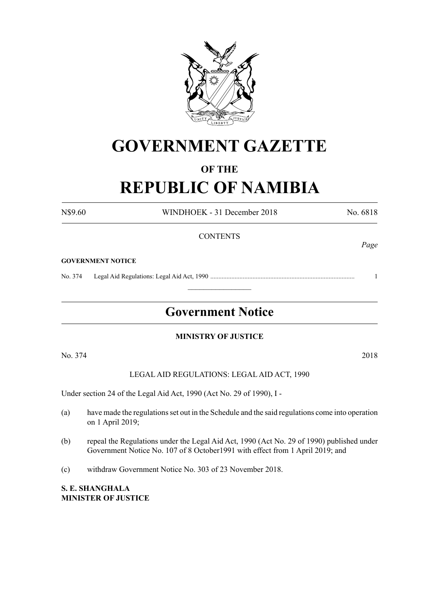

# **GOVERNMENT GAZETTE**

# **OF THE**

# **REPUBLIC OF NAMIBIA**

N\$9.60 WINDHOEK - 31 December 2018 No. 6818

**CONTENTS GOVERNMENT NOTICE** No. 374 Legal Aid Regulations: Legal Aid Act, 1990 ......................................................................................... 1  $\frac{1}{2}$ **Government Notice**

# **MINISTRY OF JUSTICE**

No. 374 2018

LEGAL AID REGULATIONS: LEGAL AID ACT, 1990

Under section 24 of the Legal Aid Act, 1990 (Act No. 29 of 1990), I -

- (a) have made the regulations set out in the Schedule and the said regulations come into operation on 1 April 2019;
- (b) repeal the Regulations under the Legal Aid Act, 1990 (Act No. 29 of 1990) published under Government Notice No. 107 of 8 October1991 with effect from 1 April 2019; and
- (c) withdraw Government Notice No. 303 of 23 November 2018.

**S. E. Shanghala Minister of Justice** *Page*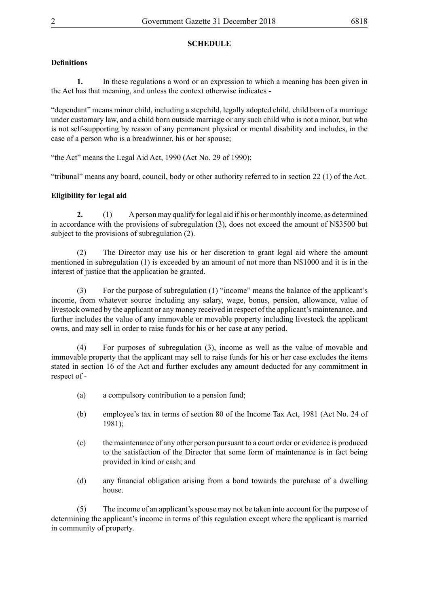# **SCHEDULE**

# **Definitions**

**1.** In these regulations a word or an expression to which a meaning has been given in the Act has that meaning, and unless the context otherwise indicates -

"dependant" means minor child, including a stepchild, legally adopted child, child born of a marriage under customary law, and a child born outside marriage or any such child who is not a minor, but who is not self-supporting by reason of any permanent physical or mental disability and includes, in the case of a person who is a breadwinner, his or her spouse;

"the Act" means the Legal Aid Act, 1990 (Act No. 29 of 1990);

"tribunal" means any board, council, body or other authority referred to in section 22 (1) of the Act.

## **Eligibility for legal aid**

**2.** (1) A person may qualify for legal aid if his or her monthly income, as determined in accordance with the provisions of subregulation (3), does not exceed the amount of N\$3500 but subject to the provisions of subregulation (2).

(2) The Director may use his or her discretion to grant legal aid where the amount mentioned in subregulation (1) is exceeded by an amount of not more than N\$1000 and it is in the interest of justice that the application be granted.

(3) For the purpose of subregulation (1) "income" means the balance of the applicant's income, from whatever source including any salary, wage, bonus, pension, allowance, value of livestock owned by the applicant or any money received in respect of the applicant's maintenance, and further includes the value of any immovable or movable property including livestock the applicant owns, and may sell in order to raise funds for his or her case at any period.

(4) For purposes of subregulation (3), income as well as the value of movable and immovable property that the applicant may sell to raise funds for his or her case excludes the items stated in section 16 of the Act and further excludes any amount deducted for any commitment in respect of -

- (a) a compulsory contribution to a pension fund;
- (b) employee's tax in terms of section 80 of the Income Tax Act, 1981 (Act No. 24 of 1981);
- (c) the maintenance of any other person pursuant to a court order or evidence is produced to the satisfaction of the Director that some form of maintenance is in fact being provided in kind or cash; and
- (d) any financial obligation arising from a bond towards the purchase of a dwelling house.

(5) The income of an applicant's spouse may not be taken into account for the purpose of determining the applicant's income in terms of this regulation except where the applicant is married in community of property.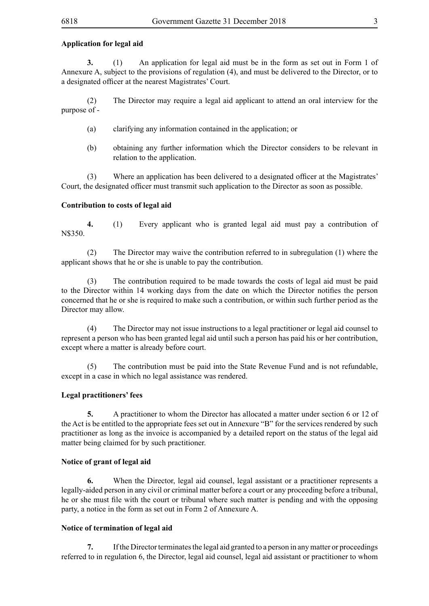## **Application for legal aid**

**3.** (1) An application for legal aid must be in the form as set out in Form 1 of Annexure A, subject to the provisions of regulation (4), and must be delivered to the Director, or to a designated officer at the nearest Magistrates' Court.

(2) The Director may require a legal aid applicant to attend an oral interview for the purpose of -

- (a) clarifying any information contained in the application; or
- (b) obtaining any further information which the Director considers to be relevant in relation to the application.

(3) Where an application has been delivered to a designated officer at the Magistrates' Court, the designated officer must transmit such application to the Director as soon as possible.

## **Contribution to costs of legal aid**

**4.** (1) Every applicant who is granted legal aid must pay a contribution of N\$350.

(2) The Director may waive the contribution referred to in subregulation (1) where the applicant shows that he or she is unable to pay the contribution.

(3) The contribution required to be made towards the costs of legal aid must be paid to the Director within 14 working days from the date on which the Director notifies the person concerned that he or she is required to make such a contribution, or within such further period as the Director may allow.

(4) The Director may not issue instructions to a legal practitioner or legal aid counsel to represent a person who has been granted legal aid until such a person has paid his or her contribution, except where a matter is already before court.

(5) The contribution must be paid into the State Revenue Fund and is not refundable, except in a case in which no legal assistance was rendered.

#### **Legal practitioners' fees**

**5.** A practitioner to whom the Director has allocated a matter under section 6 or 12 of the Act is be entitled to the appropriate fees set out in Annexure "B" for the services rendered by such practitioner as long as the invoice is accompanied by a detailed report on the status of the legal aid matter being claimed for by such practitioner.

#### **Notice of grant of legal aid**

**6.** When the Director, legal aid counsel, legal assistant or a practitioner represents a legally-aided person in any civil or criminal matter before a court or any proceeding before a tribunal, he or she must file with the court or tribunal where such matter is pending and with the opposing party, a notice in the form as set out in Form 2 of Annexure A.

#### **Notice of termination of legal aid**

**7.** If the Director terminates the legal aid granted to a person in any matter or proceedings referred to in regulation 6, the Director, legal aid counsel, legal aid assistant or practitioner to whom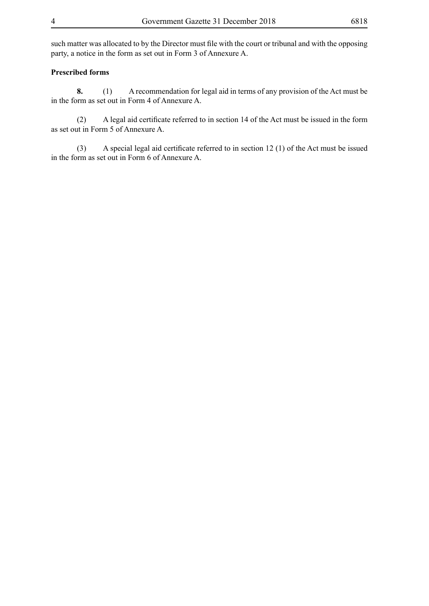such matter was allocated to by the Director must file with the court or tribunal and with the opposing party, a notice in the form as set out in Form 3 of Annexure A.

## **Prescribed forms**

**8.** (1) A recommendation for legal aid in terms of any provision of the Act must be in the form as set out in Form 4 of Annexure A.

 (2) A legal aid certificate referred to in section 14 of the Act must be issued in the form as set out in Form 5 of Annexure A.

 (3) A special legal aid certificate referred to in section 12 (1) of the Act must be issued in the form as set out in Form 6 of Annexure A.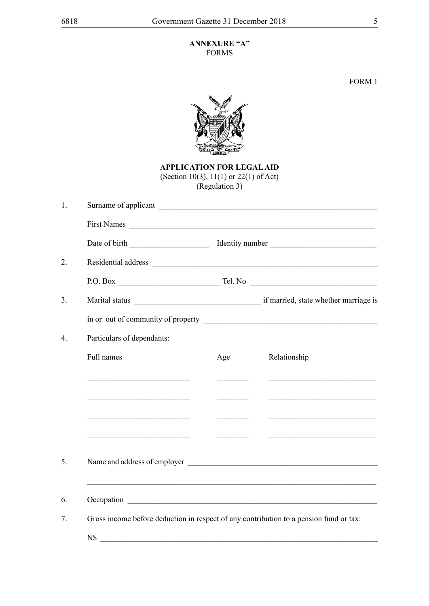## **ANNEXURE "A"** FORMS

FORM 1



**APPLICATION FOR LEGAL AID** (Section 10(3), 11(1) or 22(1) of Act) (Regulation 3)

| $\mathbf{1}$ .   | Surname of applicant                                                                                                  |                                  |                                                         |  |
|------------------|-----------------------------------------------------------------------------------------------------------------------|----------------------------------|---------------------------------------------------------|--|
|                  | First Names                                                                                                           |                                  |                                                         |  |
|                  |                                                                                                                       |                                  |                                                         |  |
| 2.               |                                                                                                                       |                                  |                                                         |  |
|                  |                                                                                                                       |                                  |                                                         |  |
| 3 <sub>1</sub>   |                                                                                                                       |                                  |                                                         |  |
|                  |                                                                                                                       |                                  | in or out of community of property                      |  |
| $\overline{4}$ . | Particulars of dependants:                                                                                            |                                  |                                                         |  |
|                  | Full names                                                                                                            | Age                              | Relationship                                            |  |
|                  | <u> 1989 - Johann Barbara, martin amerikan basar dan basa dan basa dan basa dalam basa dalam basa dalam basa dala</u> | <u> Liberal Communication</u>    | <u> 1989 - Johann Barbara, martin amerikan basal da</u> |  |
|                  |                                                                                                                       |                                  |                                                         |  |
|                  |                                                                                                                       |                                  |                                                         |  |
|                  | <u> 1989 - Andrea Barbara, poeta esperanto-</u>                                                                       | <u> 1990 - Johann Barnett, f</u> |                                                         |  |
| 5.               |                                                                                                                       |                                  |                                                         |  |
|                  |                                                                                                                       |                                  |                                                         |  |
| 6.               |                                                                                                                       |                                  |                                                         |  |
| 7.               | Gross income before deduction in respect of any contribution to a pension fund or tax:                                |                                  |                                                         |  |
|                  | $N\$                                                                                                                  |                                  |                                                         |  |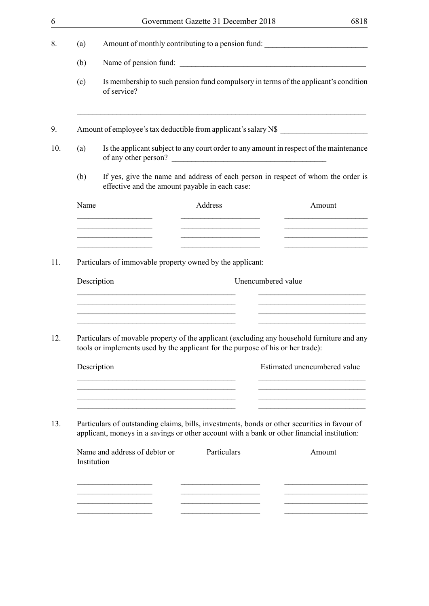|                                                                                                                                                                                              |                                                                                                                                    | Government Gazette 31 December 2018                                                                                   | 6818                                                                                |  |  |
|----------------------------------------------------------------------------------------------------------------------------------------------------------------------------------------------|------------------------------------------------------------------------------------------------------------------------------------|-----------------------------------------------------------------------------------------------------------------------|-------------------------------------------------------------------------------------|--|--|
| (a)                                                                                                                                                                                          |                                                                                                                                    |                                                                                                                       | Amount of monthly contributing to a pension fund: _______________________________   |  |  |
| (b)                                                                                                                                                                                          |                                                                                                                                    | Name of pension fund:                                                                                                 |                                                                                     |  |  |
| (c)                                                                                                                                                                                          | of service?                                                                                                                        |                                                                                                                       | Is membership to such pension fund compulsory in terms of the applicant's condition |  |  |
|                                                                                                                                                                                              | Amount of employee's tax deductible from applicant's salary N\$                                                                    |                                                                                                                       |                                                                                     |  |  |
| Is the applicant subject to any court order to any amount in respect of the maintenance<br>(a)<br>of any other person?                                                                       |                                                                                                                                    |                                                                                                                       |                                                                                     |  |  |
| (b)                                                                                                                                                                                          | If yes, give the name and address of each person in respect of whom the order is<br>effective and the amount payable in each case: |                                                                                                                       |                                                                                     |  |  |
| Name                                                                                                                                                                                         |                                                                                                                                    | Address                                                                                                               | Amount                                                                              |  |  |
|                                                                                                                                                                                              | the control of the control of the control of the control of the control of                                                         | <u> 1989 - Johann Barbara, martin amerikan basar dan berasal dalam basar dalam basar dalam basar dalam basar dala</u> |                                                                                     |  |  |
|                                                                                                                                                                                              | Particulars of immovable property owned by the applicant:                                                                          |                                                                                                                       |                                                                                     |  |  |
|                                                                                                                                                                                              | Description<br>Unencumbered value                                                                                                  |                                                                                                                       |                                                                                     |  |  |
|                                                                                                                                                                                              | <u> 1989 - Johann Stoff, amerikansk politiker (* 1908)</u>                                                                         |                                                                                                                       |                                                                                     |  |  |
| Particulars of movable property of the applicant (excluding any household furniture and any<br>tools or implements used by the applicant for the purpose of his or her trade):               |                                                                                                                                    |                                                                                                                       |                                                                                     |  |  |
| Description                                                                                                                                                                                  |                                                                                                                                    |                                                                                                                       | Estimated unencumbered value                                                        |  |  |
|                                                                                                                                                                                              | <u> 1989 - Johann John Stein, markin fan it ferstjer fan de Amerikaanske kommunister fan it ferstjer fan de Ameri</u>              |                                                                                                                       | <u> 1980 - Johann John Stone, mensk politik fotograf (d. 1980)</u>                  |  |  |
| Particulars of outstanding claims, bills, investments, bonds or other securities in favour of<br>applicant, moneys in a savings or other account with a bank or other financial institution: |                                                                                                                                    |                                                                                                                       |                                                                                     |  |  |
| Institution                                                                                                                                                                                  | Name and address of debtor or                                                                                                      | Particulars                                                                                                           | Amount                                                                              |  |  |
|                                                                                                                                                                                              |                                                                                                                                    |                                                                                                                       |                                                                                     |  |  |
|                                                                                                                                                                                              |                                                                                                                                    |                                                                                                                       |                                                                                     |  |  |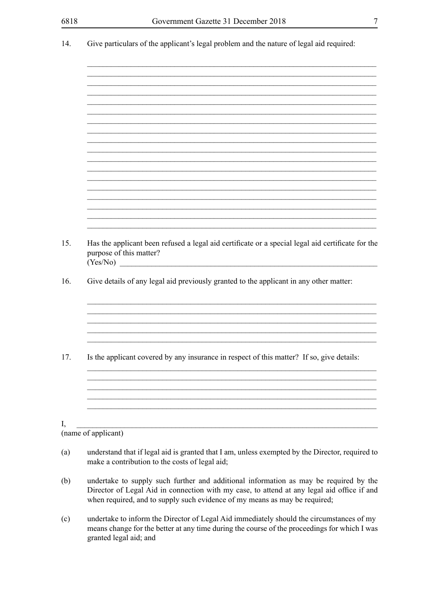| Give particulars of the applicant's legal problem and the nature of legal aid required:                                                                                                                                                                           |
|-------------------------------------------------------------------------------------------------------------------------------------------------------------------------------------------------------------------------------------------------------------------|
|                                                                                                                                                                                                                                                                   |
|                                                                                                                                                                                                                                                                   |
|                                                                                                                                                                                                                                                                   |
|                                                                                                                                                                                                                                                                   |
|                                                                                                                                                                                                                                                                   |
|                                                                                                                                                                                                                                                                   |
|                                                                                                                                                                                                                                                                   |
|                                                                                                                                                                                                                                                                   |
|                                                                                                                                                                                                                                                                   |
|                                                                                                                                                                                                                                                                   |
| Has the applicant been refused a legal aid certificate or a special legal aid certificate for the<br>purpose of this matter?<br>(Yes/No)                                                                                                                          |
| Give details of any legal aid previously granted to the applicant in any other matter:                                                                                                                                                                            |
|                                                                                                                                                                                                                                                                   |
|                                                                                                                                                                                                                                                                   |
| Is the applicant covered by any insurance in respect of this matter? If so, give details:                                                                                                                                                                         |
|                                                                                                                                                                                                                                                                   |
|                                                                                                                                                                                                                                                                   |
|                                                                                                                                                                                                                                                                   |
| (name of applicant)                                                                                                                                                                                                                                               |
| understand that if legal aid is granted that I am, unless exempted by the Director, required to<br>make a contribution to the costs of legal aid;                                                                                                                 |
| undertake to supply such further and additional information as may be required by the<br>Director of Legal Aid in connection with my case, to attend at any legal aid office if and<br>when required, and to supply such evidence of my means as may be required; |

undertake to inform the Director of Legal Aid immediately should the circumstances of my  $(c)$ means change for the better at any time during the course of the proceedings for which I was granted legal aid; and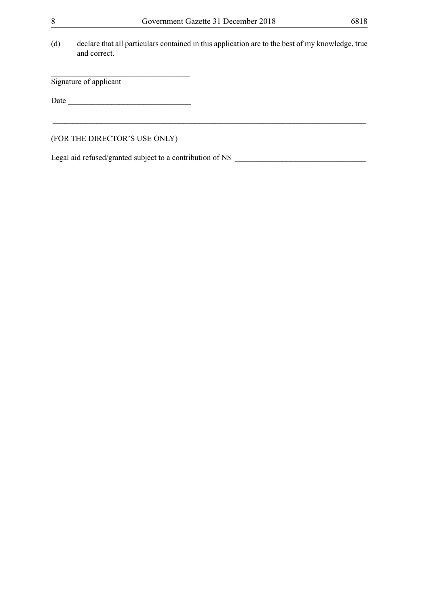(d) declare that all particulars contained in this application are to the best of my knowledge, true and correct.

Signature of applicant

Date \_\_\_\_\_\_\_\_\_\_\_\_\_\_\_\_\_\_\_\_\_\_\_\_\_\_\_\_\_\_\_

\_\_\_\_\_\_\_\_\_\_\_\_\_\_\_\_\_\_\_\_\_\_\_\_\_\_\_\_\_\_\_\_\_\_\_

(FOR THE DIRECTOR'S USE ONLY)

Legal aid refused/granted subject to a contribution of N\$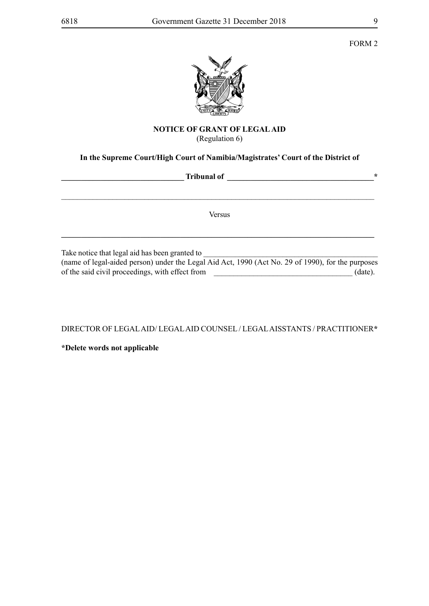

## **NOTICE OF GRANT OF LEGAL AID** (Regulation 6)

## **In the Supreme Court/High Court of Namibia/Magistrates' Court of the District of**

| <b>Tribunal of</b>                                                                                                                                  |  |
|-----------------------------------------------------------------------------------------------------------------------------------------------------|--|
|                                                                                                                                                     |  |
| Versus                                                                                                                                              |  |
| Take notice that legal aid has been granted to<br>(name of legal-aided person) under the Legal Aid Act, 1990 (Act No. 29 of 1990), for the purposes |  |

of the said civil proceedings, with effect from \_\_\_\_\_\_\_\_\_\_\_\_\_\_\_\_\_\_\_\_\_\_\_\_\_\_\_\_\_\_\_\_\_\_\_ (date).

DIRECTOR OF LEGAL AID/ LEGAL AID COUNSEL / LEGAL AISSTANTS / PRACTITIONER**\***

**\*Delete words not applicable**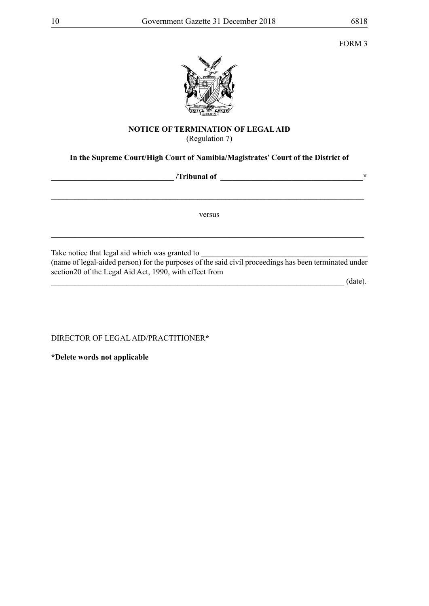FORM 3



## **NOTICE OF TERMINATION OF LEGAL AID** (Regulation 7)

# **In the Supreme Court/High Court of Namibia/Magistrates' Court of the District of**

| /Tribunal of                                                                                                                                             | $\ast$ |
|----------------------------------------------------------------------------------------------------------------------------------------------------------|--------|
|                                                                                                                                                          |        |
| versus                                                                                                                                                   |        |
| Take notice that legal aid which was granted to<br>(name of legal-aided person) for the purposes of the said civil proceedings has been terminated under |        |
| section 20 of the Legal Aid Act, 1990, with effect from<br>(date)                                                                                        |        |

DIRECTOR OF LEGAL AID/PRACTITIONER**\***

**\*Delete words not applicable**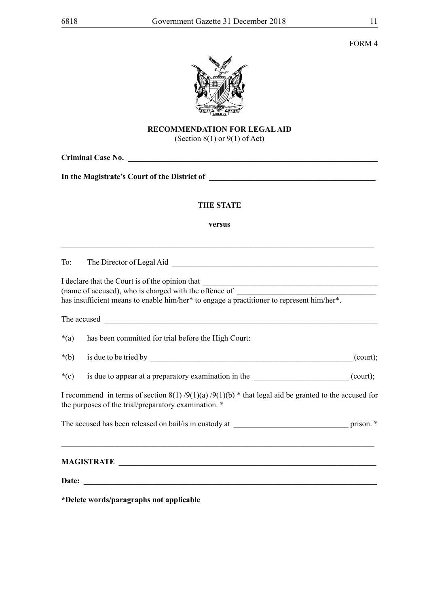

# **RECOMMENDATION FOR LEGAL AID**

(Section  $8(1)$  or  $9(1)$  of Act)

| <b>Criminal Case No.</b> The same of the same of the same of the same of the same of the same of the same of the same of the same of the same of the same of the same of the same of the same of the same of the same of the same o |  |  |  |
|-------------------------------------------------------------------------------------------------------------------------------------------------------------------------------------------------------------------------------------|--|--|--|
|                                                                                                                                                                                                                                     |  |  |  |
| <b>THE STATE</b>                                                                                                                                                                                                                    |  |  |  |
| versus                                                                                                                                                                                                                              |  |  |  |
| To:                                                                                                                                                                                                                                 |  |  |  |
| I declare that the Court is of the opinion that<br>(name of accused), who is charged with the offence of<br>has insufficient means to enable him/her* to engage a practitioner to represent him/her*.                               |  |  |  |
|                                                                                                                                                                                                                                     |  |  |  |
| $*(a)$<br>has been committed for trial before the High Court:                                                                                                                                                                       |  |  |  |
| $*(b)$                                                                                                                                                                                                                              |  |  |  |
| $*(c)$<br>is due to appear at a preparatory examination in the ___________________________(court);                                                                                                                                  |  |  |  |
| I recommend in terms of section $8(1)$ /9(1)(a) /9(1)(b) * that legal aid be granted to the accused for<br>the purposes of the trial/preparatory examination. *                                                                     |  |  |  |
|                                                                                                                                                                                                                                     |  |  |  |
| <u> 1989 - Johann Stoff, deutscher Stoffen und der Stoffen und der Stoffen und der Stoffen und der Stoffen und der</u>                                                                                                              |  |  |  |
|                                                                                                                                                                                                                                     |  |  |  |

**\*Delete words/paragraphs not applicable**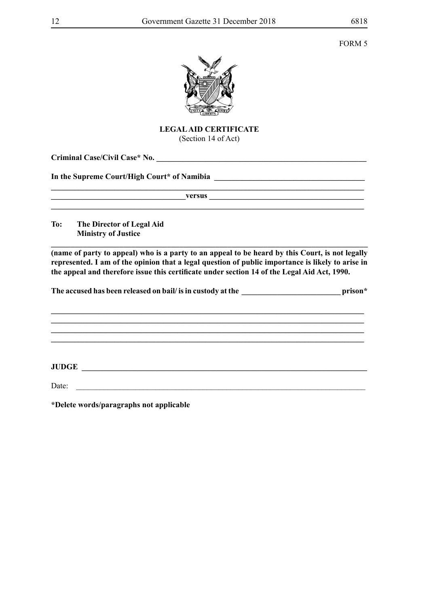**\_\_\_\_\_\_\_\_\_\_\_\_\_\_\_\_\_\_\_\_\_\_\_\_\_\_\_\_\_\_\_\_\_\_\_\_\_\_\_\_\_\_\_\_\_\_\_\_\_\_\_\_\_\_\_\_\_\_\_\_\_\_\_\_\_\_\_\_\_\_\_\_\_\_\_\_\_\_\_**



**LEGAL AID CERTIFICATE** (Section 14 of Act)

**Criminal Case/Civil Case\* No. \_\_\_\_\_\_\_\_\_\_\_\_\_\_\_\_\_\_\_\_\_\_\_\_\_\_\_\_\_\_\_\_\_\_\_\_\_\_\_\_\_\_\_\_\_\_\_\_\_\_\_\_\_**

In the Supreme Court/High Court\* of Namibia **Lietuan Courting the Supreme Court** 

 $\bf{versus}$ 

**\_\_\_\_\_\_\_\_\_\_\_\_\_\_\_\_\_\_\_\_\_\_\_\_\_\_\_\_\_\_\_\_\_\_\_\_\_\_\_\_\_\_\_\_\_\_\_\_\_\_\_\_\_\_\_\_\_\_\_\_\_\_\_\_\_\_\_\_\_\_\_\_\_\_\_\_\_\_\_**

**To: The Director of Legal Aid Ministry of Justice**

**(name of party to appeal) who is a party to an appeal to be heard by this Court, is not legally represented. I am of the opinion that a legal question of public importance is likely to arise in the appeal and therefore issue this certificate under section 14 of the Legal Aid Act, 1990.**

**\_\_\_\_\_\_\_\_\_\_\_\_\_\_\_\_\_\_\_\_\_\_\_\_\_\_\_\_\_\_\_\_\_\_\_\_\_\_\_\_\_\_\_\_\_\_\_\_\_\_\_\_\_\_\_\_\_\_\_\_\_\_\_\_\_\_\_\_\_\_\_\_\_\_\_\_\_\_\_** 

The accused has been released on bail/ is in custody at the **\_\_\_\_\_\_\_\_\_\_\_\_\_\_\_\_\_\_\_\_\_\_\_\_\_\_\_\_\_\_** prison\*

**\_\_\_\_\_\_\_\_\_\_\_\_\_\_\_\_\_\_\_\_\_\_\_\_\_\_\_\_\_\_\_\_\_\_\_\_\_\_\_\_\_\_\_\_\_\_\_\_\_\_\_\_\_\_\_\_\_\_\_\_\_\_\_\_\_\_\_\_\_\_\_\_\_\_\_\_\_\_\_ \_\_\_\_\_\_\_\_\_\_\_\_\_\_\_\_\_\_\_\_\_\_\_\_\_\_\_\_\_\_\_\_\_\_\_\_\_\_\_\_\_\_\_\_\_\_\_\_\_\_\_\_\_\_\_\_\_\_\_\_\_\_\_\_\_\_\_\_\_\_\_\_\_\_\_\_\_\_\_**

**\_\_\_\_\_\_\_\_\_\_\_\_\_\_\_\_\_\_\_\_\_\_\_\_\_\_\_\_\_\_\_\_\_\_\_\_\_\_\_\_\_\_\_\_\_\_\_\_\_\_\_\_\_\_\_\_\_\_\_\_\_\_\_\_\_\_\_\_\_\_\_\_\_\_\_\_\_\_\_**

**JUDGE \_\_\_\_\_\_\_\_\_\_\_\_\_\_\_\_\_\_\_\_\_\_\_\_\_\_\_\_\_\_\_\_\_\_\_\_\_\_\_\_\_\_\_\_\_\_\_\_\_\_\_\_\_\_\_\_\_\_\_\_\_\_\_\_\_\_\_\_\_\_\_\_**

Date: \_\_\_\_\_\_\_\_\_\_\_\_\_\_\_\_\_\_\_\_\_\_\_\_\_\_\_\_\_\_\_\_\_\_\_\_\_\_\_\_\_\_\_\_\_\_\_\_\_\_\_\_\_\_\_\_\_\_\_\_\_\_\_\_\_\_\_\_\_\_\_\_\_

**\*Delete words/paragraphs not applicable**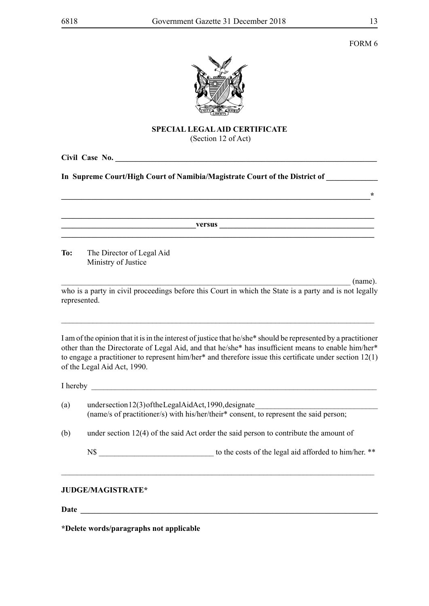FORM 6



# **SPECIAL LEGAL AID CERTIFICATE**

(Section 12 of Act)

**\_\_\_\_\_\_\_\_\_\_\_\_\_\_\_\_\_\_\_\_\_\_\_\_\_\_\_\_\_\_\_\_\_\_\_\_\_\_\_\_\_\_\_\_\_\_\_\_\_\_\_\_\_\_\_\_\_\_\_\_\_\_\_\_\_\_\_\_\_\_\_\_\_\_\_\_\_\_\***

**Civil Case No. \_\_\_\_\_\_\_\_\_\_\_\_\_\_\_\_\_\_\_\_\_\_\_\_\_\_\_\_\_\_\_\_\_\_\_\_\_\_\_\_\_\_\_\_\_\_\_\_\_\_\_\_\_\_\_\_\_\_\_\_\_\_\_\_\_\_**

In Supreme Court/High Court of Namibia/Magistrate Court of the District of

 $versus$ 

**\_\_\_\_\_\_\_\_\_\_\_\_\_\_\_\_\_\_\_\_\_\_\_\_\_\_\_\_\_\_\_\_\_\_\_\_\_\_\_\_\_\_\_\_\_\_\_\_\_\_\_\_\_\_\_\_\_\_\_\_\_\_\_\_\_\_\_\_\_\_\_\_\_\_\_\_\_\_\_**

**\_\_\_\_\_\_\_\_\_\_\_\_\_\_\_\_\_\_\_\_\_\_\_\_\_\_\_\_\_\_\_\_\_\_\_\_\_\_\_\_\_\_\_\_\_\_\_\_\_\_\_\_\_\_\_\_\_\_\_\_\_\_\_\_\_\_\_\_\_\_\_\_\_\_\_\_\_\_\_**

**To:** The Director of Legal Aid Ministry of Justice

 $\Box$  (name). who is a party in civil proceedings before this Court in which the State is a party and is not legally represented.

\_\_\_\_\_\_\_\_\_\_\_\_\_\_\_\_\_\_\_\_\_\_\_\_\_\_\_\_\_\_\_\_\_\_\_\_\_\_\_\_\_\_\_\_\_\_\_\_\_\_\_\_\_\_\_\_\_\_\_\_\_\_\_\_\_\_\_\_\_\_\_\_\_\_\_\_\_\_\_

I am of the opinion that it is in the interest of justice that he/she\* should be represented by a practitioner other than the Directorate of Legal Aid, and that he/she\* has insufficient means to enable him/her\* to engage a practitioner to represent him/her\* and therefore issue this certificate under section 12(1) of the Legal Aid Act, 1990.

I hereby \_\_\_\_\_\_\_\_\_\_\_\_\_\_\_\_\_\_\_\_\_\_\_\_\_\_\_\_\_\_\_\_\_\_\_\_\_\_\_\_\_\_\_\_\_\_\_\_\_\_\_\_\_\_\_\_\_\_\_\_\_\_\_\_\_\_\_\_\_\_\_\_

| (a) | undersection $12(3)$ of the Legal Aid Act, 1990, designate<br>(name/s of practitioner/s) with his/her/their* consent, to represent the said person; |
|-----|-----------------------------------------------------------------------------------------------------------------------------------------------------|
| (b) | under section $12(4)$ of the said Act order the said person to contribute the amount of                                                             |

\_\_\_\_\_\_\_\_\_\_\_\_\_\_\_\_\_\_\_\_\_\_\_\_\_\_\_\_\_\_\_\_\_\_\_\_\_\_\_\_\_\_\_\_\_\_\_\_\_\_\_\_\_\_\_\_\_\_\_\_\_\_\_\_\_\_\_\_\_\_\_\_\_\_\_\_\_\_\_

N\$ to the costs of the legal aid afforded to him/her. \*\*

## **JUDGE/MAGISTRATE\***

**Date \_\_\_\_\_\_\_\_\_\_\_\_\_\_\_\_\_\_\_\_\_\_\_\_\_\_\_\_\_\_\_\_\_\_\_\_\_\_\_\_\_\_\_\_\_\_\_\_\_\_\_\_\_\_\_\_\_\_\_\_\_\_\_\_\_\_\_\_\_\_\_\_\_\_\_**

**\*Delete words/paragraphs not applicable**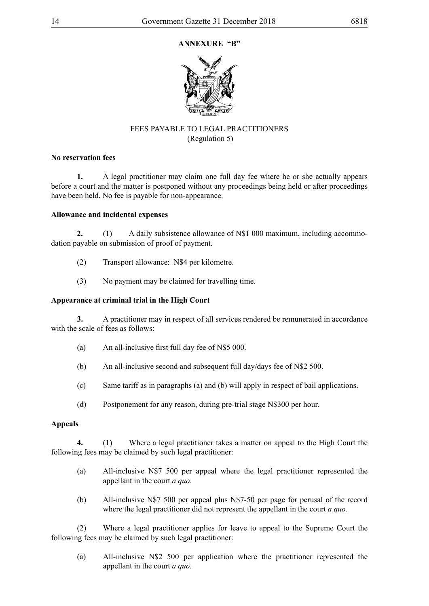## **ANNEXURE "B"**



## FEES PAYABLE TO LEGAL PRACTITIONERS (Regulation 5)

## **No reservation fees**

**1.** A legal practitioner may claim one full day fee where he or she actually appears before a court and the matter is postponed without any proceedings being held or after proceedings have been held. No fee is payable for non-appearance.

## **Allowance and incidental expenses**

**2.** (1) A daily subsistence allowance of N\$1 000 maximum, including accommodation payable on submission of proof of payment.

- (2) Transport allowance: N\$4 per kilometre.
- (3) No payment may be claimed for travelling time.

## **Appearance at criminal trial in the High Court**

**3.** A practitioner may in respect of all services rendered be remunerated in accordance with the scale of fees as follows:

- (a) An all-inclusive first full day fee of N\$5 000.
- (b) An all-inclusive second and subsequent full day/days fee of N\$2 500.
- (c) Same tariff as in paragraphs (a) and (b) will apply in respect of bail applications.
- (d) Postponement for any reason, during pre-trial stage N\$300 per hour.

## **Appeals**

**4.** (1) Where a legal practitioner takes a matter on appeal to the High Court the following fees may be claimed by such legal practitioner:

- (a) All-inclusive N\$7 500 per appeal where the legal practitioner represented the appellant in the court *a quo.*
- (b) All-inclusive N\$7 500 per appeal plus N\$7-50 per page for perusal of the record where the legal practitioner did not represent the appellant in the court *a quo*.

(2) Where a legal practitioner applies for leave to appeal to the Supreme Court the following fees may be claimed by such legal practitioner:

(a) All-inclusive N\$2 500 per application where the practitioner represented the appellant in the court *a quo*.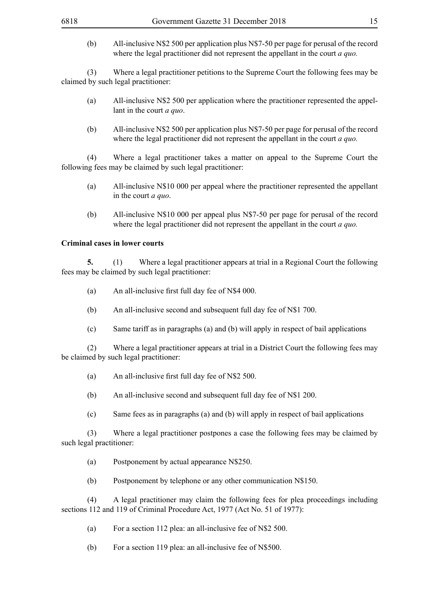(b) All-inclusive N\$2 500 per application plus N\$7-50 per page for perusal of the record where the legal practitioner did not represent the appellant in the court *a quo*.

(3) Where a legal practitioner petitions to the Supreme Court the following fees may be claimed by such legal practitioner:

- (a) All-inclusive N\$2 500 per application where the practitioner represented the appellant in the court *a quo*.
- (b) All-inclusive N\$2 500 per application plus N\$7-50 per page for perusal of the record where the legal practitioner did not represent the appellant in the court *a quo.*

(4) Where a legal practitioner takes a matter on appeal to the Supreme Court the following fees may be claimed by such legal practitioner:

- (a) All-inclusive N\$10 000 per appeal where the practitioner represented the appellant in the court *a quo*.
- (b) All-inclusive N\$10 000 per appeal plus N\$7-50 per page for perusal of the record where the legal practitioner did not represent the appellant in the court *a quo.*

## **Criminal cases in lower courts**

**5.** (1) Where a legal practitioner appears at trial in a Regional Court the following fees may be claimed by such legal practitioner:

- (a) An all-inclusive first full day fee of N\$4 000.
- (b) An all-inclusive second and subsequent full day fee of N\$1 700.
- (c) Same tariff as in paragraphs (a) and (b) will apply in respect of bail applications

(2) Where a legal practitioner appears at trial in a District Court the following fees may be claimed by such legal practitioner:

- (a) An all-inclusive first full day fee of N\$2 500.
- (b) An all-inclusive second and subsequent full day fee of N\$1 200.
- (c) Same fees as in paragraphs (a) and (b) will apply in respect of bail applications

(3) Where a legal practitioner postpones a case the following fees may be claimed by such legal practitioner:

- (a) Postponement by actual appearance N\$250.
- (b) Postponement by telephone or any other communication N\$150.

(4) A legal practitioner may claim the following fees for plea proceedings including sections 112 and 119 of Criminal Procedure Act, 1977 (Act No. 51 of 1977):

- (a) For a section 112 plea: an all-inclusive fee of N\$2 500.
- (b) For a section 119 plea: an all-inclusive fee of N\$500.